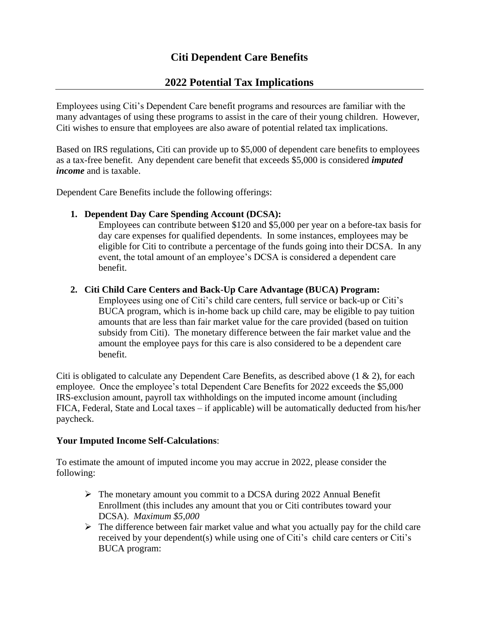# **Citi Dependent Care Benefits**

## **2022 Potential Tax Implications**

Employees using Citi's Dependent Care benefit programs and resources are familiar with the many advantages of using these programs to assist in the care of their young children. However, Citi wishes to ensure that employees are also aware of potential related tax implications.

Based on IRS regulations, Citi can provide up to \$5,000 of dependent care benefits to employees as a tax-free benefit. Any dependent care benefit that exceeds \$5,000 is considered *imputed income* and is taxable.

Dependent Care Benefits include the following offerings:

### **1. Dependent Day Care Spending Account (DCSA):**

Employees can contribute between \$120 and \$5,000 per year on a before-tax basis for day care expenses for qualified dependents. In some instances, employees may be eligible for Citi to contribute a percentage of the funds going into their DCSA. In any event, the total amount of an employee's DCSA is considered a dependent care benefit.

#### **2. Citi Child Care Centers and Back-Up Care Advantage (BUCA) Program:**

Employees using one of Citi's child care centers, full service or back-up or Citi's BUCA program, which is in-home back up child care, may be eligible to pay tuition amounts that are less than fair market value for the care provided (based on tuition subsidy from Citi). The monetary difference between the fair market value and the amount the employee pays for this care is also considered to be a dependent care benefit.

Citi is obligated to calculate any Dependent Care Benefits, as described above (1 & 2), for each employee. Once the employee's total Dependent Care Benefits for 2022 exceeds the \$5,000 IRS-exclusion amount, payroll tax withholdings on the imputed income amount (including FICA, Federal, State and Local taxes – if applicable) will be automatically deducted from his/her paycheck.

### **Your Imputed Income Self-Calculations**:

To estimate the amount of imputed income you may accrue in 2022, please consider the following:

- ➢ The monetary amount you commit to a DCSA during 2022 Annual Benefit Enrollment (this includes any amount that you or Citi contributes toward your DCSA). *Maximum \$5,000*
- $\triangleright$  The difference between fair market value and what you actually pay for the child care received by your dependent(s) while using one of Citi's child care centers or Citi's BUCA program: